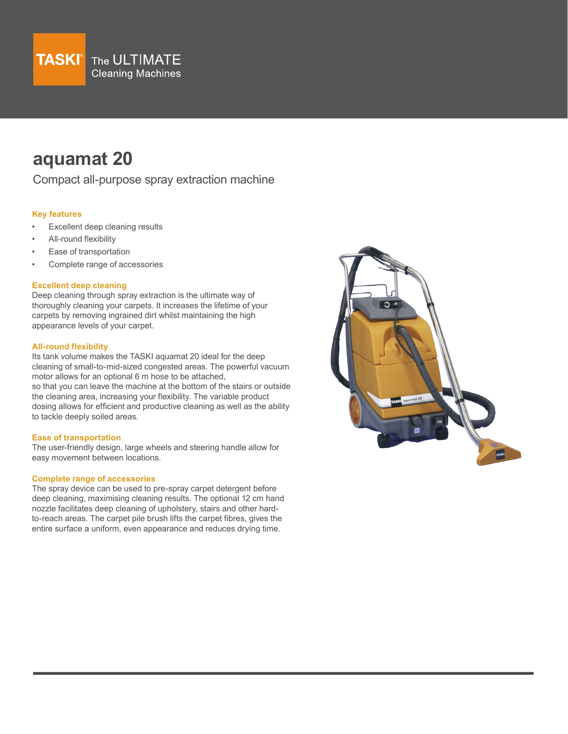

# **aquamat 20**

Compact all-purpose spray extraction machine

# **Key features**

- Excellent deep cleaning results
- All-round flexibility
- Ease of transportation
- Complete range of accessories

# **Excellent deep cleaning**

Deep cleaning through spray extraction is the ultimate way of thoroughly cleaning your carpets. It increases the lifetime of your carpets by removing ingrained dirt whilst maintaining the high appearance levels of your carpet.

## **All-round flexibility**

Its tank volume makes the TASKI aquamat 20 ideal for the deep cleaning of small-to-mid-sized congested areas. The powerful vacuum motor allows for an optional 6 m hose to be attached, so that you can leave the machine at the bottom of the stairs or outside the cleaning area, increasing your flexibility. The variable product dosing allows for efficient and productive cleaning as well as the ability to tackle deeply soiled areas.

#### **Ease of transportation**

The user-friendly design, large wheels and steering handle allow for easy movement between locations.

## **Complete range of accessories**

The spray device can be used to pre-spray carpet detergent before deep cleaning, maximising cleaning results. The optional 12 cm hand nozzle facilitates deep cleaning of upholstery, stairs and other hardto-reach areas. The carpet pile brush lifts the carpet fibres, gives the entire surface a uniform, even appearance and reduces drying time.